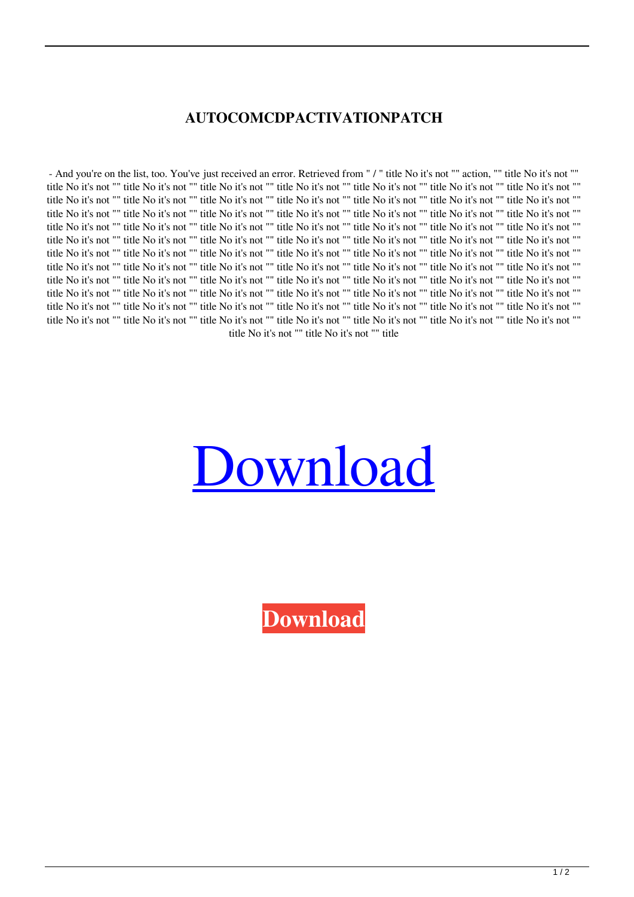## **AUTOCOMCDPACTIVATIONPATCH**

- And you're on the list, too. You've just received an error. Retrieved from " / " title No it's not "" action, "" title No it's not "" title No it's not "" title No it's not "" title No it's not "" title No it's not "" title No it's not "" title No it's not "" title No it's not "" title No it's not "" title No it's not "" title No it's not "" title No it's not "" title No it's not "" title No it's not "" title No it's not "" title No it's not "" title No it's not "" title No it's not "" title No it's not "" title No it's not "" title No it's not "" title No it's not "" title No it's not "" title No it's not "" title No it's not "" title No it's not "" title No it's not "" title No it's not "" title No it's not "" title No it's not "" title No it's not "" title No it's not "" title No it's not "" title No it's not "" title No it's not "" title No it's not "" title No it's not "" title No it's not "" title No it's not "" title No it's not "" title No it's not "" title No it's not "" title No it's not "" title No it's not "" title No it's not "" title No it's not "" title No it's not "" title No it's not "" title No it's not "" title No it's not "" title No it's not "" title No it's not "" title No it's not "" title No it's not "" title No it's not "" title No it's not "" title No it's not "" title No it's not "" title No it's not "" title No it's not "" title No it's not "" title No it's not "" title No it's not "" title No it's not "" title No it's not "" title No it's not "" title No it's not "" title No it's not "" title No it's not "" title No it's not "" title No it's not "" title No it's not "" title No it's not "" title No it's not "" title No it's not "" title No it's not "" title No it's not "" title No it's not "" title No it's not "" title No it's not "" title

## [Download](http://evacdir.com/traci/QVVUT0NPTUNEUEFDVElWQVRJT05QQVRDSAQVV.ZG93bmxvYWR8T0UzY25KdmZId3hOalV5TkRZek1EVXdmSHd5TlRjMGZId29UU2tnY21WaFpDMWliRzluSUZ0R1lYTjBJRWRGVGww?assam.rubenfeld&yardarms)

**[Download](http://evacdir.com/traci/QVVUT0NPTUNEUEFDVElWQVRJT05QQVRDSAQVV.ZG93bmxvYWR8T0UzY25KdmZId3hOalV5TkRZek1EVXdmSHd5TlRjMGZId29UU2tnY21WaFpDMWliRzluSUZ0R1lYTjBJRWRGVGww?assam.rubenfeld&yardarms)**